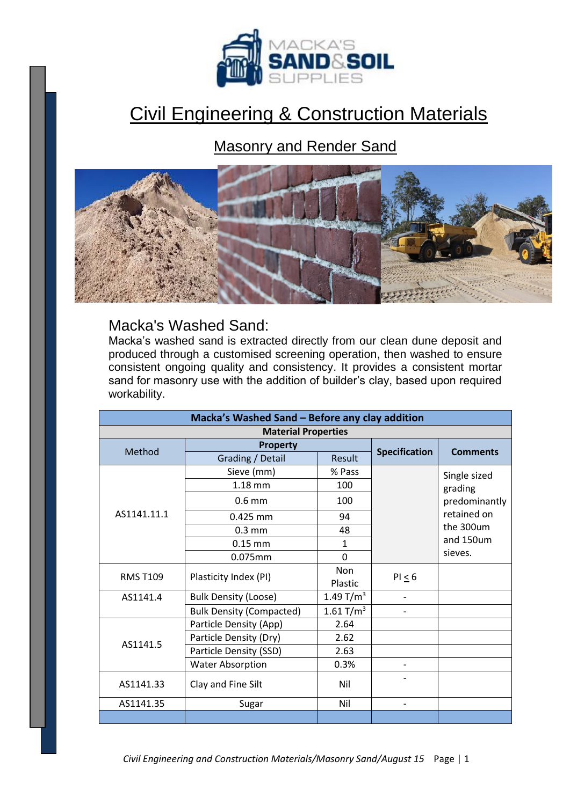

## Civil Engineering & Construction Materials

## Masonry and Render Sand



## Macka's Washed Sand:

Macka's washed sand is extracted directly from our clean dune deposit and produced through a customised screening operation, then washed to ensure consistent ongoing quality and consistency. It provides a consistent mortar sand for masonry use with the addition of builder's clay, based upon required workability.

| Macka's Washed Sand - Before any clay addition |                                 |              |                          |                                                                                              |
|------------------------------------------------|---------------------------------|--------------|--------------------------|----------------------------------------------------------------------------------------------|
| <b>Material Properties</b>                     |                                 |              |                          |                                                                                              |
| Method                                         | <b>Property</b>                 |              | <b>Specification</b>     | <b>Comments</b>                                                                              |
|                                                | Grading / Detail                | Result       |                          |                                                                                              |
| AS1141.11.1                                    | Sieve (mm)                      | % Pass       |                          | Single sized<br>grading<br>predominantly<br>retained on<br>the 300um<br>and 150um<br>sieves. |
|                                                | $1.18 \text{ mm}$               | 100          |                          |                                                                                              |
|                                                | $0.6$ mm                        | 100          |                          |                                                                                              |
|                                                | 0.425 mm                        | 94           |                          |                                                                                              |
|                                                | $0.3 \text{ mm}$                | 48           |                          |                                                                                              |
|                                                | $0.15$ mm                       | $\mathbf{1}$ |                          |                                                                                              |
|                                                | 0.075mm                         | $\Omega$     |                          |                                                                                              |
| <b>RMS T109</b>                                | Plasticity Index (PI)           | <b>Non</b>   | PI < 6                   |                                                                                              |
|                                                |                                 | Plastic      |                          |                                                                                              |
| AS1141.4                                       | <b>Bulk Density (Loose)</b>     | 1.49 $T/m^3$ |                          |                                                                                              |
|                                                | <b>Bulk Density (Compacted)</b> | 1.61 $T/m^3$ | $\overline{\phantom{0}}$ |                                                                                              |
| AS1141.5                                       | Particle Density (App)          | 2.64         |                          |                                                                                              |
|                                                | Particle Density (Dry)          | 2.62         |                          |                                                                                              |
|                                                | Particle Density (SSD)          | 2.63         |                          |                                                                                              |
|                                                | <b>Water Absorption</b>         | 0.3%         |                          |                                                                                              |
| AS1141.33                                      | Clay and Fine Silt              | Nil          |                          |                                                                                              |
| AS1141.35                                      | Sugar                           | Nil          | $\overline{\phantom{0}}$ |                                                                                              |
|                                                |                                 |              |                          |                                                                                              |